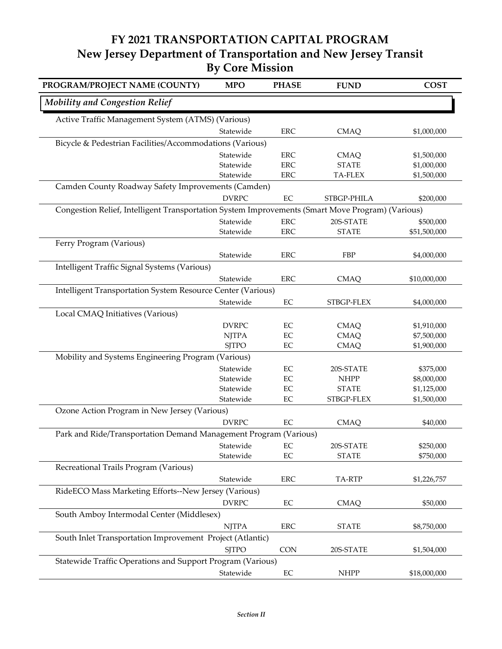## **FY 2021 TRANSPORTATION CAPITAL PROGRAM New Jersey Department of Transportation and New Jersey Transit By Core Mission**

| PROGRAM/PROJECT NAME (COUNTY)                                                                    | <b>MPO</b>                                                       | <b>PHASE</b> | <b>FUND</b>  | <b>COST</b>  |  |  |  |
|--------------------------------------------------------------------------------------------------|------------------------------------------------------------------|--------------|--------------|--------------|--|--|--|
| <b>Mobility and Congestion Relief</b>                                                            |                                                                  |              |              |              |  |  |  |
| Active Traffic Management System (ATMS) (Various)                                                |                                                                  |              |              |              |  |  |  |
|                                                                                                  | Statewide                                                        | <b>ERC</b>   | <b>CMAQ</b>  | \$1,000,000  |  |  |  |
| Bicycle & Pedestrian Facilities/Accommodations (Various)                                         |                                                                  |              |              |              |  |  |  |
|                                                                                                  | Statewide                                                        | <b>ERC</b>   | <b>CMAQ</b>  | \$1,500,000  |  |  |  |
|                                                                                                  | Statewide                                                        | <b>ERC</b>   | <b>STATE</b> | \$1,000,000  |  |  |  |
|                                                                                                  | Statewide                                                        | <b>ERC</b>   | TA-FLEX      | \$1,500,000  |  |  |  |
| Camden County Roadway Safety Improvements (Camden)                                               |                                                                  |              |              |              |  |  |  |
|                                                                                                  | <b>DVRPC</b>                                                     | $\rm EC$     | STBGP-PHILA  | \$200,000    |  |  |  |
| Congestion Relief, Intelligent Transportation System Improvements (Smart Move Program) (Various) |                                                                  |              |              |              |  |  |  |
|                                                                                                  | Statewide                                                        | <b>ERC</b>   | 20S-STATE    | \$500,000    |  |  |  |
|                                                                                                  | Statewide                                                        | <b>ERC</b>   | <b>STATE</b> | \$51,500,000 |  |  |  |
| Ferry Program (Various)                                                                          |                                                                  |              |              |              |  |  |  |
|                                                                                                  | Statewide                                                        | <b>ERC</b>   | FBP          | \$4,000,000  |  |  |  |
| Intelligent Traffic Signal Systems (Various)                                                     |                                                                  |              |              |              |  |  |  |
|                                                                                                  | Statewide                                                        | <b>ERC</b>   | <b>CMAQ</b>  | \$10,000,000 |  |  |  |
| Intelligent Transportation System Resource Center (Various)                                      |                                                                  |              |              |              |  |  |  |
|                                                                                                  | Statewide                                                        | $\rm EC$     | STBGP-FLEX   | \$4,000,000  |  |  |  |
| Local CMAQ Initiatives (Various)                                                                 |                                                                  |              |              |              |  |  |  |
|                                                                                                  | <b>DVRPC</b>                                                     | $\rm EC$     | <b>CMAQ</b>  | \$1,910,000  |  |  |  |
|                                                                                                  | <b>NJTPA</b>                                                     | $\rm EC$     | <b>CMAQ</b>  | \$7,500,000  |  |  |  |
|                                                                                                  | <b>SJTPO</b>                                                     | $\rm EC$     | <b>CMAQ</b>  | \$1,900,000  |  |  |  |
| Mobility and Systems Engineering Program (Various)                                               |                                                                  |              |              |              |  |  |  |
|                                                                                                  | Statewide                                                        | $\rm EC$     | 20S-STATE    | \$375,000    |  |  |  |
|                                                                                                  | Statewide                                                        | EC           | <b>NHPP</b>  | \$8,000,000  |  |  |  |
|                                                                                                  | Statewide                                                        | $\rm EC$     | <b>STATE</b> | \$1,125,000  |  |  |  |
|                                                                                                  | Statewide                                                        | $\rm EC$     | STBGP-FLEX   | \$1,500,000  |  |  |  |
| Ozone Action Program in New Jersey (Various)                                                     |                                                                  |              |              |              |  |  |  |
|                                                                                                  | <b>DVRPC</b>                                                     | $\rm EC$     | <b>CMAQ</b>  | \$40,000     |  |  |  |
|                                                                                                  | Park and Ride/Transportation Demand Management Program (Various) |              |              |              |  |  |  |
|                                                                                                  | Statewide                                                        | $\rm EC$     | 20S-STATE    | \$250,000    |  |  |  |
|                                                                                                  | Statewide                                                        | $\rm EC$     | <b>STATE</b> | \$750,000    |  |  |  |
| Recreational Trails Program (Various)                                                            |                                                                  |              |              |              |  |  |  |
|                                                                                                  | Statewide                                                        | ERC          | TA-RTP       | \$1,226,757  |  |  |  |
| RideECO Mass Marketing Efforts--New Jersey (Various)                                             |                                                                  |              |              |              |  |  |  |
|                                                                                                  | <b>DVRPC</b>                                                     | EC           | <b>CMAQ</b>  | \$50,000     |  |  |  |
| South Amboy Intermodal Center (Middlesex)                                                        |                                                                  |              |              |              |  |  |  |
|                                                                                                  | <b>NJTPA</b>                                                     | <b>ERC</b>   | <b>STATE</b> | \$8,750,000  |  |  |  |
| South Inlet Transportation Improvement Project (Atlantic)                                        |                                                                  |              |              |              |  |  |  |
|                                                                                                  | <b>SJTPO</b>                                                     | <b>CON</b>   | 20S-STATE    | \$1,504,000  |  |  |  |
| Statewide Traffic Operations and Support Program (Various)                                       |                                                                  |              |              |              |  |  |  |
|                                                                                                  | Statewide                                                        | $\rm EC$     | <b>NHPP</b>  | \$18,000,000 |  |  |  |
|                                                                                                  |                                                                  |              |              |              |  |  |  |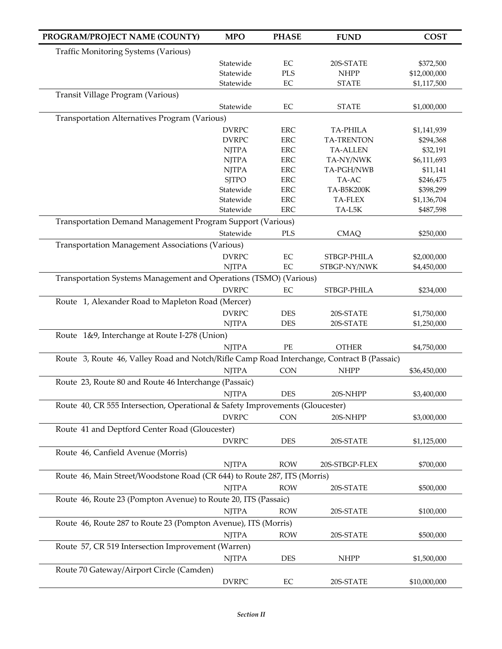| PROGRAM/PROJECT NAME (COUNTY)                                                              | <b>MPO</b>                                                 | <b>PHASE</b> | <b>FUND</b>       | <b>COST</b>  |  |  |
|--------------------------------------------------------------------------------------------|------------------------------------------------------------|--------------|-------------------|--------------|--|--|
| <b>Traffic Monitoring Systems (Various)</b>                                                |                                                            |              |                   |              |  |  |
|                                                                                            | Statewide                                                  | $\rm EC$     | 20S-STATE         | \$372,500    |  |  |
|                                                                                            | Statewide                                                  | <b>PLS</b>   | <b>NHPP</b>       | \$12,000,000 |  |  |
|                                                                                            | Statewide                                                  | EC           | <b>STATE</b>      | \$1,117,500  |  |  |
| Transit Village Program (Various)                                                          |                                                            |              |                   |              |  |  |
|                                                                                            | Statewide                                                  | EC           | <b>STATE</b>      | \$1,000,000  |  |  |
| Transportation Alternatives Program (Various)                                              |                                                            |              |                   |              |  |  |
|                                                                                            | <b>DVRPC</b>                                               | ERC          | <b>TA-PHILA</b>   | \$1,141,939  |  |  |
|                                                                                            | <b>DVRPC</b>                                               | <b>ERC</b>   | <b>TA-TRENTON</b> | \$294,368    |  |  |
|                                                                                            | <b>NJTPA</b>                                               | <b>ERC</b>   | <b>TA-ALLEN</b>   | \$32,191     |  |  |
|                                                                                            | <b>NJTPA</b>                                               | <b>ERC</b>   | TA-NY/NWK         | \$6,111,693  |  |  |
|                                                                                            | <b>NJTPA</b>                                               | <b>ERC</b>   | TA-PGH/NWB        | \$11,141     |  |  |
|                                                                                            | <b>SJTPO</b>                                               | <b>ERC</b>   | TA-AC             | \$246,475    |  |  |
|                                                                                            | Statewide                                                  | <b>ERC</b>   | TA-B5K200K        | \$398,299    |  |  |
|                                                                                            | Statewide                                                  | <b>ERC</b>   | <b>TA-FLEX</b>    | \$1,136,704  |  |  |
|                                                                                            | Statewide                                                  | <b>ERC</b>   | TA-L5K            | \$487,598    |  |  |
|                                                                                            | Transportation Demand Management Program Support (Various) |              |                   |              |  |  |
|                                                                                            | Statewide                                                  | PLS          | <b>CMAQ</b>       | \$250,000    |  |  |
| <b>Transportation Management Associations (Various)</b>                                    |                                                            |              |                   |              |  |  |
|                                                                                            | <b>DVRPC</b>                                               | EC           | STBGP-PHILA       | \$2,000,000  |  |  |
|                                                                                            | <b>NJTPA</b>                                               | $\rm EC$     | STBGP-NY/NWK      | \$4,450,000  |  |  |
| Transportation Systems Management and Operations (TSMO) (Various)                          |                                                            |              |                   |              |  |  |
|                                                                                            | <b>DVRPC</b>                                               | $\rm EC$     | STBGP-PHILA       | \$234,000    |  |  |
|                                                                                            |                                                            |              |                   |              |  |  |
| Route 1, Alexander Road to Mapleton Road (Mercer)                                          |                                                            |              |                   |              |  |  |
|                                                                                            | <b>DVRPC</b>                                               | <b>DES</b>   | 20S-STATE         | \$1,750,000  |  |  |
|                                                                                            | <b>NJTPA</b>                                               | <b>DES</b>   | 20S-STATE         | \$1,250,000  |  |  |
| Route 1&9, Interchange at Route I-278 (Union)                                              |                                                            |              |                   |              |  |  |
|                                                                                            | <b>NJTPA</b>                                               | $\rm PE$     | <b>OTHER</b>      | \$4,750,000  |  |  |
| Route 3, Route 46, Valley Road and Notch/Rifle Camp Road Interchange, Contract B (Passaic) |                                                            |              |                   |              |  |  |
|                                                                                            | <b>NJTPA</b>                                               | <b>CON</b>   | <b>NHPP</b>       | \$36,450,000 |  |  |
| Route 23, Route 80 and Route 46 Interchange (Passaic)                                      |                                                            |              |                   |              |  |  |
|                                                                                            | <b>NJTPA</b>                                               | <b>DES</b>   | 20S-NHPP          | \$3,400,000  |  |  |
| Route 40, CR 555 Intersection, Operational & Safety Improvements (Gloucester)              |                                                            |              |                   |              |  |  |
|                                                                                            | <b>DVRPC</b>                                               | CON          | 20S-NHPP          | \$3,000,000  |  |  |
| Route 41 and Deptford Center Road (Gloucester)                                             |                                                            |              |                   |              |  |  |
|                                                                                            | <b>DVRPC</b>                                               | <b>DES</b>   | 20S-STATE         |              |  |  |
|                                                                                            |                                                            |              |                   | \$1,125,000  |  |  |
| Route 46, Canfield Avenue (Morris)                                                         |                                                            |              |                   |              |  |  |
|                                                                                            | <b>NJTPA</b>                                               | <b>ROW</b>   | 20S-STBGP-FLEX    | \$700,000    |  |  |
| Route 46, Main Street/Woodstone Road (CR 644) to Route 287, ITS (Morris)                   |                                                            |              |                   |              |  |  |
|                                                                                            | <b>NJTPA</b>                                               | <b>ROW</b>   | 20S-STATE         | \$500,000    |  |  |
| Route 46, Route 23 (Pompton Avenue) to Route 20, ITS (Passaic)                             |                                                            |              |                   |              |  |  |
|                                                                                            | <b>NJTPA</b>                                               | <b>ROW</b>   | 20S-STATE         | \$100,000    |  |  |
| Route 46, Route 287 to Route 23 (Pompton Avenue), ITS (Morris)                             |                                                            |              |                   |              |  |  |
|                                                                                            | <b>NJTPA</b>                                               | <b>ROW</b>   | 20S-STATE         | \$500,000    |  |  |
| Route 57, CR 519 Intersection Improvement (Warren)                                         |                                                            |              |                   |              |  |  |
|                                                                                            |                                                            |              |                   |              |  |  |
|                                                                                            | <b>NJTPA</b>                                               | <b>DES</b>   | <b>NHPP</b>       | \$1,500,000  |  |  |
| Route 70 Gateway/Airport Circle (Camden)                                                   |                                                            |              |                   |              |  |  |
|                                                                                            | <b>DVRPC</b>                                               | EC           | 20S-STATE         | \$10,000,000 |  |  |